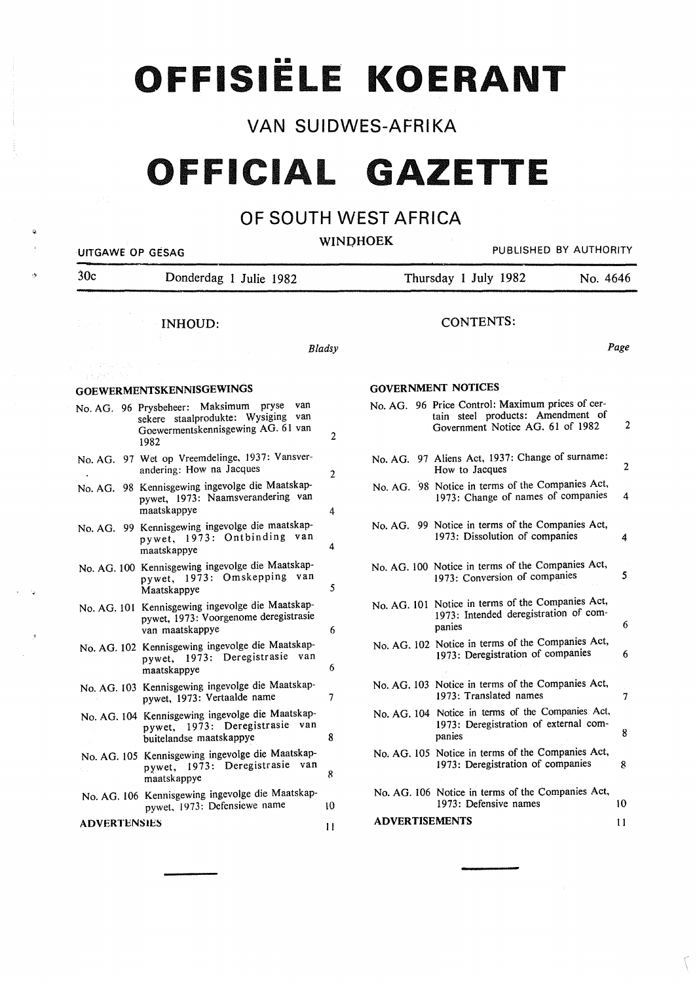**OFFISIELE KOERANT** 

### **VAN SUIDWES-AFRIKA**

# **OFFICIAL GAZETTE**

### **OF SOUTH WEST AFRICA**

~

"~

#### **WINDHOEK**

UITGAWE OP GESAG **PUBLISHED BY AUTHORITY** 30c Donderdag 1 Julie 1982 INHOUD: *Bladsy*  GOEWERMENTSKENNISGEWINGS No. AG. 96 Prysbeheer: Maksimum pryse van sekere staalprodukte: Wysiging van Goewermentskennisgewing AG. 61 van 1982 No. AG. 97 Wet op Vreemdelinge, 1937: Vansverandering: How na Jacques No. AG. 98 Kennisgewing ingevolge die Maatskappywet, 1973: Naamsverandering van maatskappye No. AG. 99 Kennisgewing ingevolge die maatskappywet, 1973: Ontbinding van maatskappye No. AG. 100 Kennisgewing ingevolge die Maatskappywet, 1973: Omskepping van Maatskappye No. AG. 101 Kennisgewing ingevolge die Maatskappywet, 1973: V oorgenome deregistrasie van maatskappye No. AG. 102 Kennisgewing ingevolge die Maatskappywet, 1973: Deregistrasie van maatskappye No. AG. 103 Kennisgewing ingevolge die Maatskappywet, 1973: Vertaalde name No. AG. 104 Kennisgewing ingevolge die Maatskappywet, 1973: Deregistrasie van 2 2 4 4 5 6 6 7 buitelandse maatskappye 8 No. AG. 105 Kennisgewing ingevolge die Maatskappywet, 1973: Deregistrasie van maatskappye 8 No. AG. 106 Kennisgewing ingevolge die Maatskappywet. 1973: Defensiewe name ADVERTENSlES \0 II Thursday 1 July 1982 No. 4646 CONTENTS: *Page*  GOVERNMENT NOTICES No. AG. 96 Price Control: Maximum prices of certain steel products: Amendment of Government Notice AG. 61 of 1982 2 No. AG. 97 Aliens Act, 1937: Change of surname: How to Jacques 2 No. AG. 98 Notice in terms of the Companies Act, 1973: Change of names of companies 4 No. AG. 99 Notice in terms of the Companies Act, 1973: Dissolution of companies 4 No. AG. 100 Notice in terms of the Companies Act, 1973: Conversion of companies 5 No. AG. 101 Notice in terms of the Companies Act, 1973: Intended deregistration of companies 6 No. AG. 102 Notice in terms of the Companies Act, 1973: Deregistration of companies 6 No. AG. 103 Notice in terms of the Companies Act, 1973: Translated names 7 No. AG. 104 Notice in terms of the Companies Act, 1973: Deregistration of external companies 8 No. AG. 105 Notice in terms of the Companies Act, 1973: Deregistration of companies 8 No. AG. 106 Notice in terms of the Companies Act, 1973: Defensive names 10 ADVERTISEMENTS 11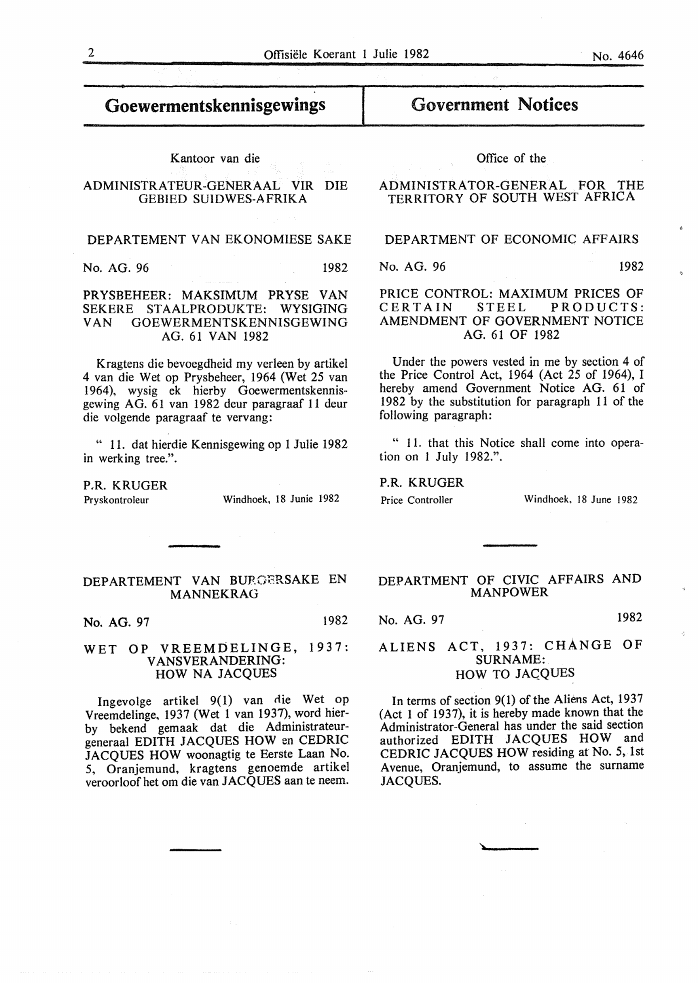### Goewermentskennisgewings

#### Kantoor van die

#### ADMINISTRATEUR-GENERAAL VIR DIE GEBIED SUIDWES-A FRIKA

#### DEPARTEMENT VAN EKONOMIESE SAKE

No. AG. 96 1982

#### PRYSBEHEER: MAKSIMUM PRYSE VAN SEKERE STAALPRODUKTE: WYSIGING VAN GOEWERMENTSKENNISGEWING AG. 61 VAN 1982

Kragtens die bevoegdheid my verleen by artikel 4 van die Wet op Prysbeheer, 1964 (Wet 25 van 1964), wysig ek hierby Goewermentskennisgewing AG. 61 van 1982 deur paragraaf 11 deur die volgende paragraaf te vervang:

" 11. dat hierdie Kennisgewing op 1 Julie 1982 in werking tree.".

P.R. KRUGER

Pryskontroleur Windhoek, 18 Junie 1982

### Government Notices

#### Office of the

#### ADMINISTRATOR-GENERAL FOR THE TERRITORY OF SOUTH WEST AFRICA

#### DEPARTMENT OF ECONOMIC AFFAIRS

No. AG. 96 1982

#### PRICE CONTROL: MAXIMUM PRICES OF<br>CERTAIN STEEL PRODUCTS: PRODUCTS: AMENDMENT OF GOVERNMENT NOTICE AG. 61 OF 1982

Under the powers vested in me by section 4 of the Price Control Act, 1964 (Act 25 of 1964), I hereby amend Government Notice AG. 61 of 1982 by the substitution for paragraph 11 of the following paragraph:

" II. that this Notice shall come into operation on I July 1982.".

P.R. KRUGER

Price Controller Windhoek, 18 June 1982

### DEPARTEMENT VAN BURGERSAKE EN MANNEKRAG

No. AG. 97 1982

#### WET OP VREEMDELINGE, 1937: V ANSVERANDERING: HOW NA JACQUES

Ingevolge artikel  $9(1)$  van die Wet op Vreemdelinge, 1937 (Wet 1 van 1937), word bierby bekend gemaak dat die Administrateurgeneraal EDITH JACQUES HOW en CEDRIC JACQUES HOW woonagtig te Eerste Laan No. 5, Oranjemund, kragtens genoemde artikel veroorloofhet om die van JACQUES aan te neem.

#### DEPARTMENT OF CIVIC AFFAIRS AND MANPOWER

No. AG. 97 1982

#### ALIENS ACT, 1937: CHANGE OF SURNAME: HOW TO JACQUES

In terms of section 9(1) of the Aliens Act, 1937 (Act 1 of 1937), it is hereby made known that the Administrator-General has under the said section authorized EDITH JACQUES HOW and CEDRIC JACQUES HOW residing at No. 5, 1st A venue, Oranjemund, to assume the surname JACQUES.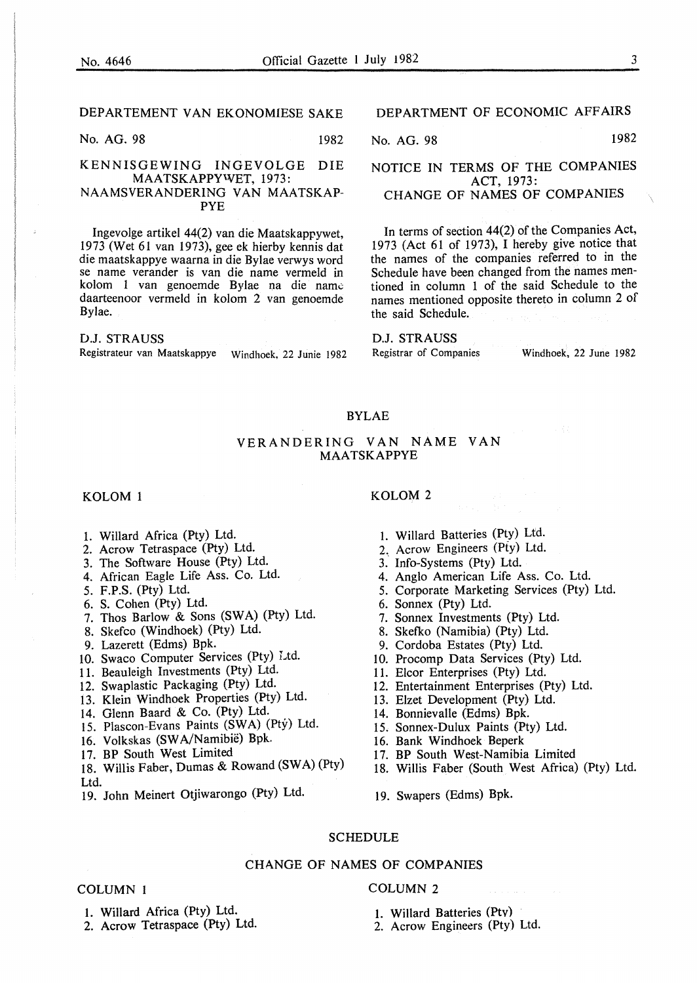#### DEPARTEMENT VAN EKONOMIESE SAKE

No. AG. 98 1982

#### KENNISGEWING INGEVOLGE DIE MAATSKAPPY'VET, 1973: NAAMSVERANDERING VAN MAATSKAP-PYE

lngevolge artikel 44(2) van die Maatskaprywet, 1973 (Wet 61 van 1973), gee ek hierby kennis dat die maatskappye waarna in die Bylae verwys word se name verander is van die name vermeld in kolom 1 van genoemde Bylae na die name daarteenoor vermeld in kolom 2 van genoemde Bylae.

#### D.J. STRAUSS

Registrateur van Maatskappye Windhoek, 22 Junie 1982

#### DEPARTMENT OF ECONOMIC AFFAIRS

No. AG. 98 1982

#### NOTICE IN TERMS OF THE COMPANIES ACT, 1973: CHANGE OF NAMES OF COMPANIES

In terms of section 44(2) of the Companies Act, 1973 (Act 61 of 1973), I hereby give notice that the names of the companies referred to in the Schedule have been changed from the names mentioned in column 1 of the said Schedule to the names mentioned opposite thereto in column 2 of the said Schedule.

D.J. STRAUSS<br>Registrar of Companies

Windhoek, 22 June 1982

#### BYLAE

#### VERANDERING VAN NAME VAN **MAATSKAPPYE**

- 1. Willard Africa (Pty) Ltd.
- 2. Acrow Tetraspace (Pty) Ltd.
- 3. The Software House (Pty) Ltd.
- 4. African Eagle Life Ass. Co. Ltd.
- 
- 6. S. Cohen (Pty) Ltd.
- 7. Thos Barlow & Sons (SWA) (Pty) Ltd.
- 8. Skefco (Windhoek) (Pty) Ltd.
- 9. Lazerett (Edms) Bpk.
- 10. Swaco Computer Services (Pty) Ltd.
- 11. Beauleigh Investments (Pty) Ltd.
- 12. Swaplastic Packaging (Pty) Ltd.
- 13. Klein Windhoek Properties (Pty) Ltd.
- 14. Glenn Baard & Co. (Pty) Ltd.
- 15. Plascon-Evans Paints (SWA) (Ptý) Ltd.
- 16. Volkskas (SWA/Namibië) Bpk.
- 17. BP South West Limited
- 18. Willis Faber, Dumas & Rowand (SWA) (Pty) Ltd.
- 19. John Meinert Otjiwarongo (Pty) Ltd. 19. Swapers (Edms) Bpk.
- l. Willard Batteries (Pty) Ltd.
- 2. Acrow Engineers (Pty) Ltd.
- 3. Info-Systems (Pty) Ltd.
- 4. Anglo American Life Ass. Co. Ltd.
- 5. F.P.S. (Pty) Ltd. 5. Corporate Marketing Services (Pty) Ltd.
	- 6. Sonnex (Pty) Ltd.
	- 7. Sonnex Investments (Pty) Ltd.
	- 8. Skefko (Namibia) (Pty) Ltd.
	- 9. Cordoba Estates (Pty) Ltd.
	- 10. Procomp Data Services (Pty) Ltd.
	- 11. Elcor Enterprises (Pty) Ltd.
	- 12. Entertainment Enterprises (Pty) Ltd.
	- 13. Elzet Development (Pty) Ltd.
	- 14. Bonnievalle (Edms) Bpk.
	- 15. Sonnex-Dulux Paints (Pty) Ltd.
	- 16. Bank Windhoek Beperk
	- 17. BP South West-Namibia Limited
	- 18. Willis Faber (South West Africa) (Pty) Ltd.

#### SCHEDULE

#### CHANGE OF NAMES OF COMPANIES

#### COLUMN I

- I. Willard Africa (Pty) Ltd.
- 2. Acrow Tetraspace (Pty) Ltd.

## COLUMN 2

- I. Willard Batteries (Ptv)
- 2. Acrow Engineers (Pty) Ltd.
- KOLOM 1 KOLOM 2
	-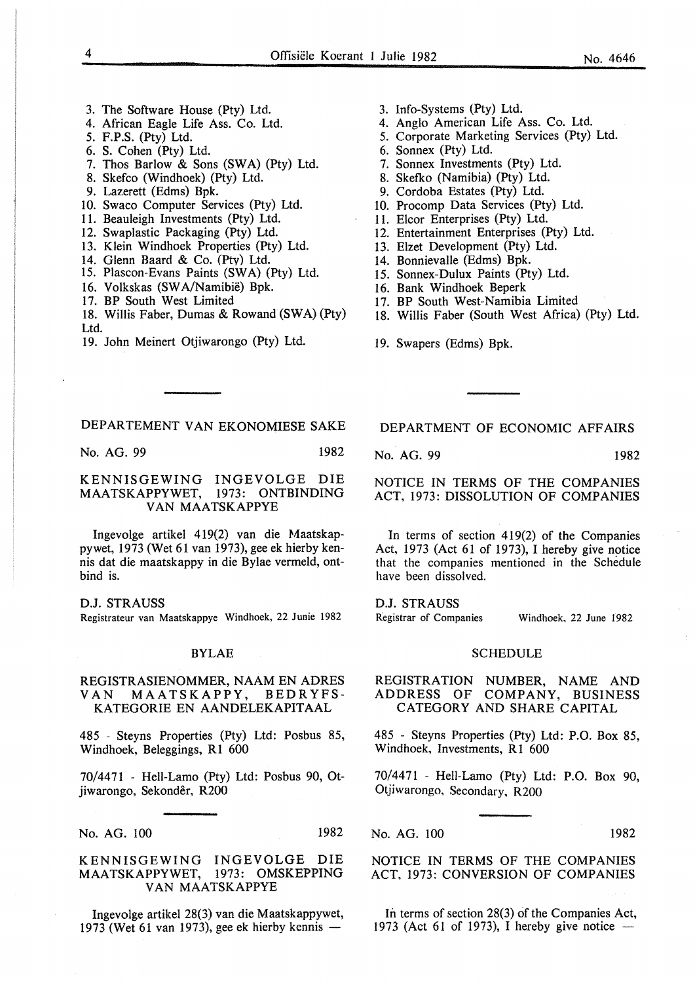- 3. The Software House (Pty) Ltd.
- 4. African Eagle Life Ass. Co. Ltd.
- 5. F.P.S. (Pty) Ltd.
- 6. S. Cohen (Pty) Ltd.
- 7. Thos Barlow & Sons (SWA) (Pty) Ltd.
- 8. Skefco (Windhoek) (Pty) Ltd.
- 9. Lazerett (Edms) Bpk.
- 10. Swaco Computer Services (Pty) Ltd.
- II. Beauleigh Investments (Pty) Ltd.
- 12. Swaplastic Packaging (Pty) Ltd.
- 13. Klein Windhoek Properties (Pty) Ltd.
- 14. Glenn Baard & Co. (Ptv) Ltd.
- 15. Plascon-Evans Paints (SWA) (Pty) Ltd.
- 16. Volkskas (SWA/Namibië) Bpk.
- 17. BP South West Limited
- 18. Willis Faber, Dumas & Rowand (SWA) (Pty) Ltd.
- 19. John Meinert Otjiwarongo (Pty) Ltd.
- 3. Info-Systems (Pty) Ltd.
- 4. Anglo American Life Ass. Co. Ltd.
- 5. Corporate Marketing Services (Pty) Ltd.
- 6. Sonnex (Pty) Ltd.
- 7. Sonnex Investments (Pty) Ltd.
- 8. Skefko (Namibia) (Pty) Ltd.
- 9. Cordoba Estates (Pty) Ltd.
- 10. Procomp Data Services (Pty) Ltd.
- 11. Elcor Enterprises (Pty) Ltd.
- 12. Entertainment Enterprises (Pty) Ltd.
- 13. Elzet Development (Pty) Ltd.
- 14. Bonnievalle (Edms) Bpk.
- 15. Sonnex-Dulux Paints (Pty) Ltd.
- 16. Bank Windhoek Beperk
- 17. BP South West-Namibia Limited
- 18. Willis Faber (South West Africa) (Pty) Ltd.
- 19. Swapers (Edms) Bpk.

#### DEPARTEMENT VAN EKONOMIESE SAKE

No. AG. 99 1982

#### KENNISGEWING INGEVOLGE DIE MAATSKAPPYWET, 1973: ONTBINDING VAN MAATSKAPPYE

Ingevolge artikel 419(2) van die Maatskappywet, 1973 (Wet 61 van 1973), gee ek hierby kennis dat die maatskappy in die Bylae vermeld, ontbind is.

D.J. STRAUSS Registrateur van Maatskappye Windhoek, 22 Junie 1982

#### BYLAE

#### REGISTRASIENOMMER, NAAM EN ADRES VAN MAATSKAPPY, BEDR YFS-KATEGORIE EN AANDELEKAPITAAL

485 - Steyns Properties (Pty) Ltd: Posbus 85, Windhoek, Beleggings, R1 600

70/4471 - Hell-Lamo (Pty) Ltd: Posbus 90, Otjiwarongo, Sekonder, R200

No. AG. 100

KENNISGEWING INGEVOLGE DIE MAATSKAPPYWET, 1973: OMSKEPPING VAN MAATSKAPPYE

Ingevolge artikel 28(3) van die Maatskappywet, 1973 (Wet 61 van 1973), gee ek hierby kennis  $-$ 

DEPARTMENT OF ECONOMIC AFFAIRS

No. AG. 99 1982

NOTICE IN TERMS OF THE COMPANIES ACT, 1973: DISSOLUTION OF COMPANIES

In terms of section 419(2) of the Companies Act, 1973 (Act 61 of 1973), I hereby give notice that the companies mentioned in the Schedule have been dissolved.

D.J. STRAUSS Registrar of Companies Windhoek, 22 June 1982

#### SCHEDULE

REGISTRATION NUMBER, NAME AND ADDRESS OF COMPANY, BUSINESS CATEGORY AND SHARE CAPITAL

485 - Steyns Properties (Pty) Ltd: P.O. Box 85, Windhoek, Investments, R1 600

70/447I - Hell-Lamo (Pty) Ltd: P.O. Box 90, Otjiwarongo, Secondary, R200

No. AG. 100 1982

NOTICE IN TERMS OF THE COMPANIES ACT, 1973: CONVERSION OF COMPANIES

In terms of section 28(3) of the Companies Act, 1973 (Act 61 of 1973), I hereby give notice -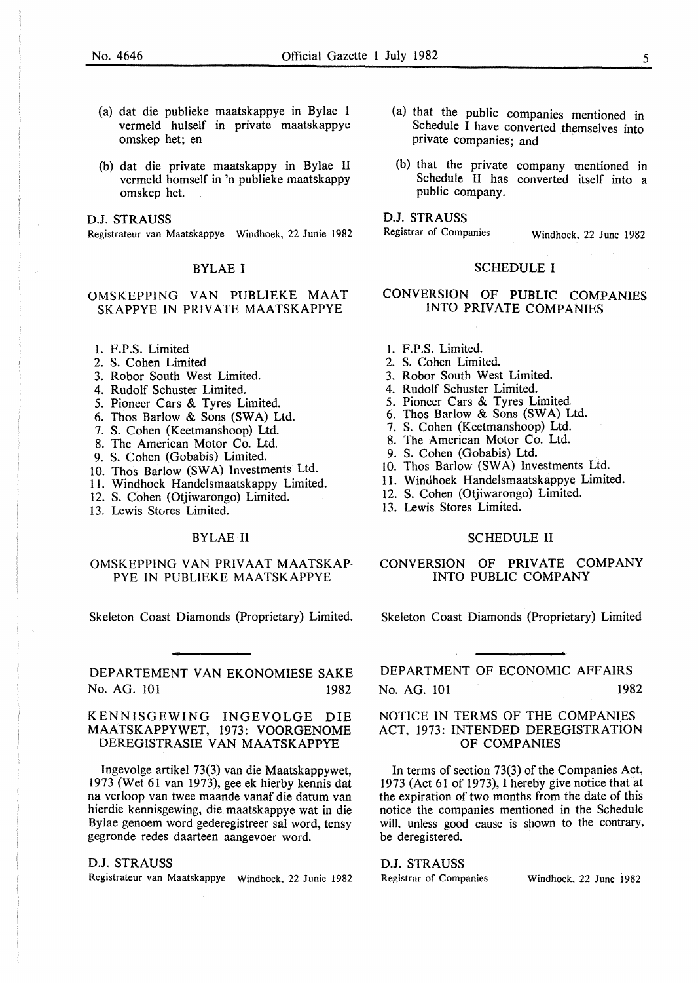- (a) dat die publieke maatskappye in Bylae 1 vermeld hulself in private maatskappye omskep het; en
- (b) dat die private maatskappy in Bylae II vermeld homself in 'n publieke maatskappy omskep het.

D.J. STRAUSS

Registrateur van Maatskappye Windhoek, 22 Junie 1982

#### BYLAE I

#### OMSKEPPING VAN PUBLIEKE MAAT-SKAPPYE IN PRIVATE MAATSKAPPYE

- I. F.P.S. Limited
- 2. S. Cohen Limited
- 3. Robor South West Limited.
- 4. Rudolf Schuster Limited.
- 5. Pioneer Cars & Tyres Limited.
- 6. Thos Barlow & Sons (SW A) Ltd.
- 7. S. Cohen (Keetmanshoop) Ltd.
- 8. The American Motor Co. Ltd.
- 9. S. Cohen (Gobabis) Limited.
- 10. Thos Barlow (SWA) Investments Ltd.
- 11. Windhoek Handelsmaatskappy Limited.
- 12. S. Cohen (Otjiwarongo) Limited.
- 13. Lewis Stores Limited.

#### BYLAE II

#### OMSKEPPING VAN PRIVAAT MAATSKAP-PYE IN PUBLIEKE MAATSKAPPYE

Skeleton Coast Diamonds (Proprietary) Limited.

DEPARTEMENT VAN EKONOMIESE SAKE No. AG. 101 1982

#### KENNISGEWING INGEVOLGE DIE MAATSKAPPYWET, 1973: VOORGENOME DEREGISTRASIE VAN MAATSKAPPYE

lngevolge artikel 73(3) van die Maatskappywet, 1973 (Wet 61 van 1973), gee ek hierby kennis dat na verloop van twee maande vanaf die datum van hierdie kennisgewing, die maatskappye wat in die Bylae genoem word gederegistreer sal word, tensy gegronde redes daarteen aangevoer word.

D.J. STRAUSS

Registrateur van Maatskappye Windhoek, 22 Junie 1982

- (a) that the public companies mentioned in Schedule I have converted themselves into private companies; and
- (b) that the private company mentioned in Schedule II has converted itself into a public company.

D.J. STRAUSS<br>Registrar of Companies

Windhoek, 22 June 1982

#### SCHEDULE I

#### CONVERSION OF PUBLIC COMPANIES INTO PRIVATE COMPANIES

- 1. F.P.S. Limited.
- 2. S. Cohen Limited.
- 3. Robor South West Limited.
- 4. Rudolf Schuster Limited.
- 5. Pioneer Cars & Tyres Limited.
- 6. Thos Barlow & Sons (SW A) Ltd.
- 7. S. Cohen (Keetmanshoop) Ltd.
- 8. The American Motor Co. Ltd.
- 9. S. Cohen (Gobabis) Ltd.
- 10. Thos Barlow (SWA) Investments Ltd.
- 11. Windhoek Handelsmaatskappye Limited.
- 12. S. Cohen (Otjiwarongo) Limited.
- 13. Lewis Stores Limited.

#### SCHEDULE II

#### CONVERSION OF PRIVATE COMPANY INTO PUBLIC COMPANY

Skeleton Coast Diamonds (Proprietary) Limited

DEPARTMENT OF ECONOMIC AFFAIRS No. AG. 101 1982

#### NOTICE IN TERMS OF THE COMPANIES ACT, 1973: INTENDED DEREGISTRATION OF COMPANIES

In terms of section 73(3) of the Companies Act, 1973 (Act 61 of 1973), I hereby give notice that at the expiration of two months from the date of this notice the companies mentioned in the Schedule will, unless good cause is shown to the contrary, be deregistered.

#### D.J. STRAUSS

Registrar of Companies Windhoek, 22 June 1982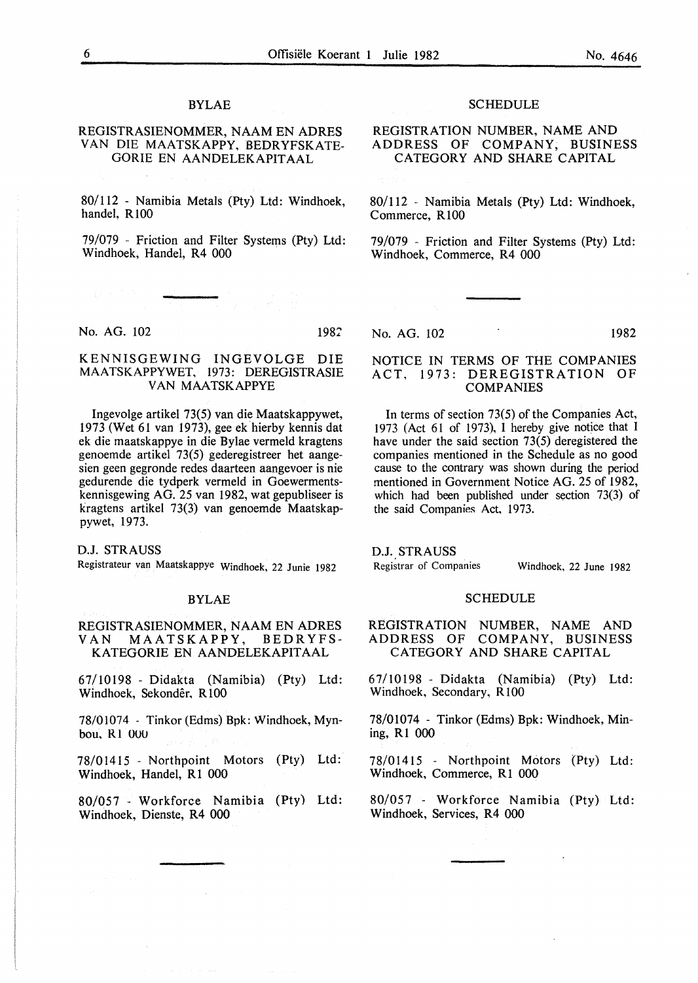#### BYLAE

#### REGISTRASIENOMMER, NAAM EN ADRES VAN DIE MAATSKAPPY, BEDRYFSKATE-GORIE EN AANDELEKAPITAAL

80/112 - Namibia Metals (Pty) Ltd: Windhoek, handel, R 100

79/079 - Friction and Filter Systems (Pty) Ltd: Windhoek, Handel, R4 000

No. AG. 102 1982

#### KENNISGEWING INGEVOLGE DIE MAATSKAPPYWET, 1973: DEREGISTRASIE VAN MAATSKAPPYE

Ingevolge artikel 73(5) van die Maatskappywet, 1973 (Wet 61 van 1973), gee ek hierby kennis dat ek die maatskappye in die Bylae vermeld kragtens genoemde artikel 73(5) gederegistreer het aangesien geen gegronde redes daarteen aangevoer is nie gedurende die tydperk vermeld in Goewermentskennisgewing AG. 25 van 1982, wat gepubliseer is kragtens artikel 73(3) van genoemde Maatskappywet, 1973.

D.J. STRAUSS

Registrateur van Maatskappye Windhoek, 22 Junie 1982

#### BYLAE

#### REGISTRASIENOMMER, NAAM EN ADRES VAN MAATSKAPPY, BEDR YFS-KATEGORIE EN AANDELEKAPITAAL

67/10198 - Didakta (Namibia) (Pty) Ltd: Windhoek, Sekonder, RlOO

78/01074 - Tinkor (Edms) Bpk: Windhoek, Mynbou, Rl 000

78/01415 - Northpoint Motors (Pty) Ltd: Windhoek, Handel, R1 000

80/057 - Workforce Namibia (Pty) Ltd: Windhoek, Dienste, R4 000

#### **SCHEDULE**

REGISTRATION NUMBER, NAME AND ADDRESS OF COMPANY, BUSINESS CATEGORY AND SHARE CAPITAL

80/112 - Namibia Metals (Pty) Ltd: Windhoek, Commerce, R100

79/079 - Friction and Filter Systems (Pty) Ltd: Windhoek, Commerce, R4 000

No. AG. 102 1982

#### NOTICE IN TERMS OF THE COMPANIES ACT, 1973: DEREGISTRATION OF COMPANIES

In terms of section 73(5) of the Companies Act, 1973 (Act 61 of 1973), 1 hereby give notice that I have under the said section 73(5) deregistered the companies mentioned in the Schedule as no good cause to the contrary was shown during the period mentioned in Government Notice AG. 25 of 1982, which had been published under section 73(3) of the said Companies Act, 1973.

D.J. STRAUSS

Registrar of Companies Windhoek, 22 June 1982

#### SCHEDULE

REGISTRATION NUMBER, NAME AND ADDRESS OF COMPANY, BUSINESS CATEGORY AND SHARE CAPITAL

67/10198 - Didakta (Namibia) (Pty) Ltd: Windhoek, Secondary, R 100

78/01074 - Tinkor (Edms) Bpk: Windhoek, Mining, R1 000

78/01415 - Northpoint Motors (Pty) Ltd: Windhoek, Commerce, R1 000

80/057 - Workforce Namibia (Pty) Ltd: Windhoek, Services, R4 000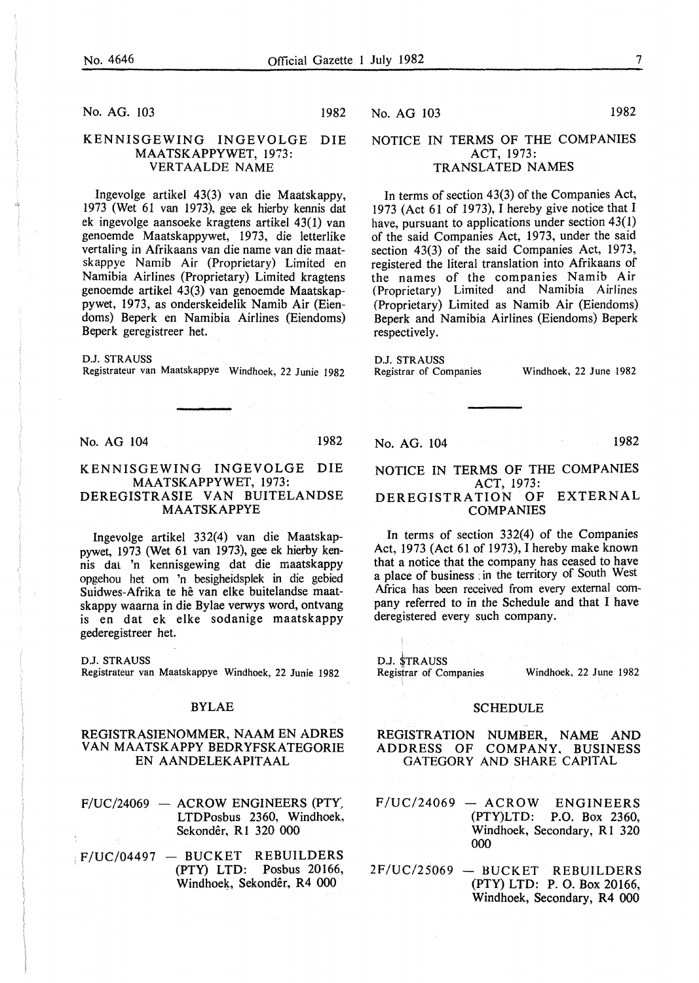No. AG. 103 1982

#### KENNISGEWING INGEVOLGE DIE MAATSKAPPYWET, 1973: VERTAALDE NAME

Ingevolge artikel 43(3) van die Maatskappy, 1973 (Wet 61 van 1973), gee ek hierby kennis dat ek ingevolge aansoeke kragtens artikel 43(1) van genoemde Maatskappywet, 1973, die letterlike vertaling in Afrikaans van die name van die maatskappye Namib Air (Proprietary) Limited en Namibia Airlines (Proprietary) Limited kragtens genoemde artikel 43(3) van genoemde Maatskappywet, 1973, as onderskeidelik Namib Air (Eiendoms) Beperk en Namibia Airlines (Eiendoms) Beperk geregistreer het.

D.J. STRAUSS Registrateur van Maatskappye Windhoek, 22 Junie 1982

No. AG 104 1982

#### KENNISGEWING INGEVOLGE DIE MAATSKAPPYWET, 1973: DEREGISTRASIE VAN BUITELANDSE

### MAATSKAPPYE

Ingevolge artikel 332(4) van die Maatskappywet, 1973 (Wet 61 van 1973), gee ek hierby kennis dal 'n kennisgewing dat die maatskappy opgehou het om 'n besigheidsplek in die gebied Suidwes-Afrika te he van elke buitelandse maatskappy waarna in die Bylae verwys word, ontvang is en dat ek elke sodanige maatskappy gederegistreer het.

D.J. STRAUSS Registrateur van Maatskappye Windhoek, 22 Junie 1982

#### BYLAE

#### REGISTRASIENOMMER, NAAM EN ADRES VAN MAATSKAPPY BEDRYFSKATEGORIE EN AANDELEKAPITAAL

 $F/UC/24069$  - ACROW ENGINEERS (PTY) LTDPosbus 2360, Windhoek, Sekonder, Rl 320 000

 $|F/UC/04497 - BUCKET REBUILDERS$ <br>(PTY) LTD: Posbus 20166, Windhoek, Sekondêr, R4 000

#### No. AG 103 1982

#### NOTICE IN TERMS OF THE COMPANIES ACT, 1973: TRANSLATED NAMES

In terms of section 43(3) of the Companies Act, 1973 (Act 61 of 1973), I hereby give notice that I have, pursuant to applications under section 43(1) of the said Companies Act, 1973, under the said section 43(3) of the said Companies Act, 1973, registered the literal translation into Afrikaans of the names of the companies Namib Air (Proprietary) Limited and Namibia Airlines (Proprietary) Limited as Namib Air (Eiendoms) Beperk and Namibia Airlines (Eiendoms) Beperk respectively.

#### D.J. STRAUSS

Registrar of Companies

Windhoek, 22 June 1982

No. AG. 104

1982

#### NOTICE IN TERMS OF THE COMPANIES ACT, 1973:

#### DEREGISTRATION OF EXTERNAL COMPANIES

In terms of section 332(4) of the Companies Act, 1973 (Act 61 of 1973), I hereby make known that a notice that the company has ceased to have a place of business :in the territory of South West Africa has been received from every external company referred to in the Schedule and that I have deregistered every such company.

D.J. \$TRAUSS Registrar of Companies Windhoek, 22 June 1982

#### SCHEDULE

REGISTRATION NUMBER, NAME AND ADDRESS OF COMPANY, BUSINESS GATEGORY AND SHARE CAPITAL

- $F/UC/24069 ACROW$  ENGINEERS (PTY)LTD: P.O. Box 2360, Windhoek, Secondary, R1 320 000
- $2F/UC/25069 BUCKET$  REBUILDERS (PTY) LTD: P. 0. Box 20166, Windhoek, Secondary, R4 000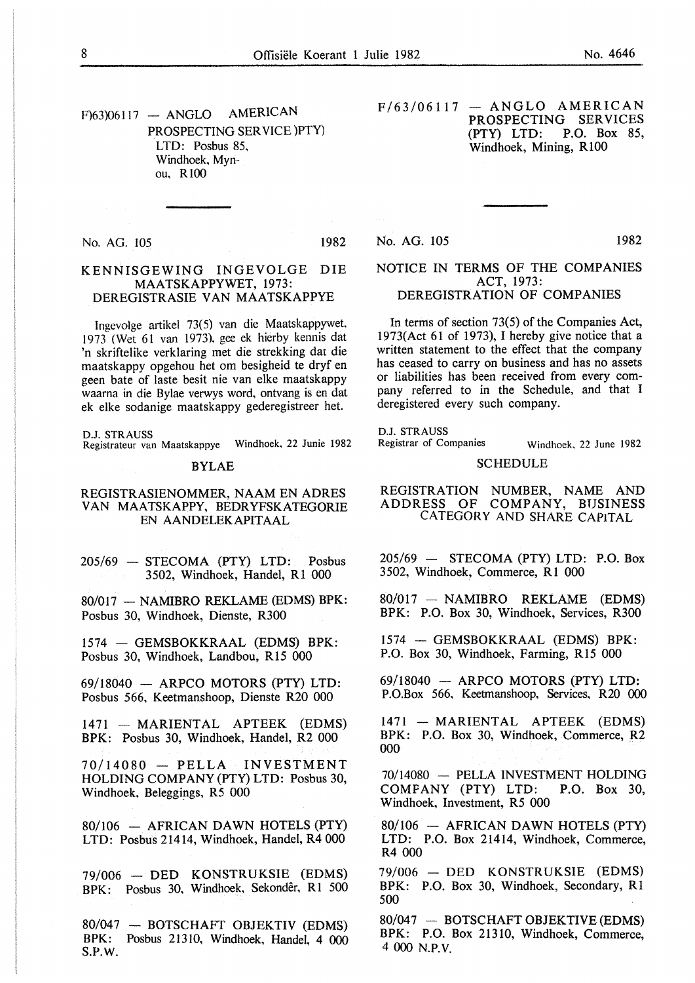$F$ 63)06117 - ANGLO AMERICAN PROSPECTING SERVICE )PTY) LTD: Posbus 85, Windhoek, Mynou, RIOO

No. AG. 105 1982

#### KENNISGEWING INGEVOLGE DIE MAATSKAPPYWET, 1973: DEREGISTRASIE VAN MAATSKAPPYE

lngevolge artikel 73(5) van die Maatskappywet, 1973 (Wet 61 van 1973). gee ek hierby kennis dat 'n skriftelike verklaring met die strekking dar die maatskappy opgehou het om besigheid te dryf en geen bate of laste besit nie van elke maatskappy waarna in die Bylae verwys word, ontvang is en dat ek elke sodanige maatskappy gederegistreer het.

D.J. STRAUSS

Registrateur van Maatskappye Windhoek, 22 Junie 1982

#### BYLAE

#### REGISTRASIENOMMER, NAAM EN ADRES VAN MAATSKAPPY, BEDRYFSKATEGORIE EN AANDELEKAPITAAL

 $205/69$  - STECOMA (PTY) LTD: Posbus 3502, Windhoek, Handel, R1 000

80/017 - NAMIBRO REKLAME (EDMS) BPK: Posbus 30, Windhoek, Dienste, R300

1574 - GEMSBOKKRAAL (EDMS) BPK: Posbus 30, Windhoek, Landbou, R15 000

 $69/18040$  - ARPCO MOTORS (PTY) LTD: Posbus 566, Keetmanshoop, Dienste R20 000

 $1471 - \text{MARIENTAL}$  APTEEK (EDMS) BPK: Posbus 30, Windhoek, Handel, R2 000

 $70/14080$  - PELLA INVESTMENT HOLDING COMPANY (PTY) LTD: Posbus 30, Windhoek, Beleggings, R5 000

 $80/106$  - AFRICAN DAWN HOTELS (PTY) LTD: Posbus 21414, Windhoek, Handel, R4 000

79/006 - DED KONSTRUKSIE (EDMS) BPK: Posbus 30, Windhoek, Sekonder, R1 500

80/047 - BOTSCHAFT OBJEKTIV (EDMS) BPK: Posbus 21310, Windhoek, Handel, 4 000 S.P.W.

 $F/63/06117 - ANGLO AMERICAN$ PROSPECTING SERVICES<br>(PTY) LTD: P.O. Box 85, P.O. Box 85, Windhoek, Mining, R 100

No. AG. 105 1982

#### NOTICE IN TERMS OF THE COMPANIES ACT, 1973: DEREGISTRATION OF COMPANIES

In terms of section 73(5) of the Companies Act, 1973(Act 61 of 1973), I hereby give notice that a written statement to the effect that the company has ceased to carry on business and has no assets or liabilities has been received from every company referred to in the Schedule, and that I deregistered every such company.

D.J. STRAUSS<br>Registrar of Companies

Windhoek. 22 June 1982

#### SCHEDULE

REGISTRATION NUMBER, NAME AND ADDRESS OF COMPANY, BUSINESS CATEGORY AND SHARE CAPITAL

 $205/69$  - STECOMA (PTY) LTD: P.O. Box 3502, Windhoek, Commerce, R1 000

80/017 - NAMIBRO REKLAME (EDMS) BPK: P.O. Box 30, Windhoek, Services, R300

1574 - GEMSBOKKRAAL (EDMS) BPK: P.O. Box 30, Windhoek, Farming, R15 000

 $69/18040$  - ARPCO MOTORS (PTY) LTD: P.O.Box 566, Keetmanshoop, Services, R20 000

1471 - MARIENTAL APTEEK (EDMS) BPK: P.O. Box 30, Windhoek, Commerce, R2 000

70/14080 - PELLA INVESTMENT HOLDING COMPANY (PTY) LTD: P.O. Box 30, Windhoek, Investment, R5 000

 $80/106$  - AFRICAN DAWN HOTELS (PTY) LTD: P.O. Box 21414, Windhoek, Commerce, R4 000

79/006 - DED KONSTRUKSIE (EDMS) BPK: P.O. Box 30, Windhoek, Secondary, R1 500

80/047 - BOTSCHAFT OBJEKTIVE (EDMS) BPK: P.O. Box 21310, Windhoek, Commerce, 4 000 N.P.V.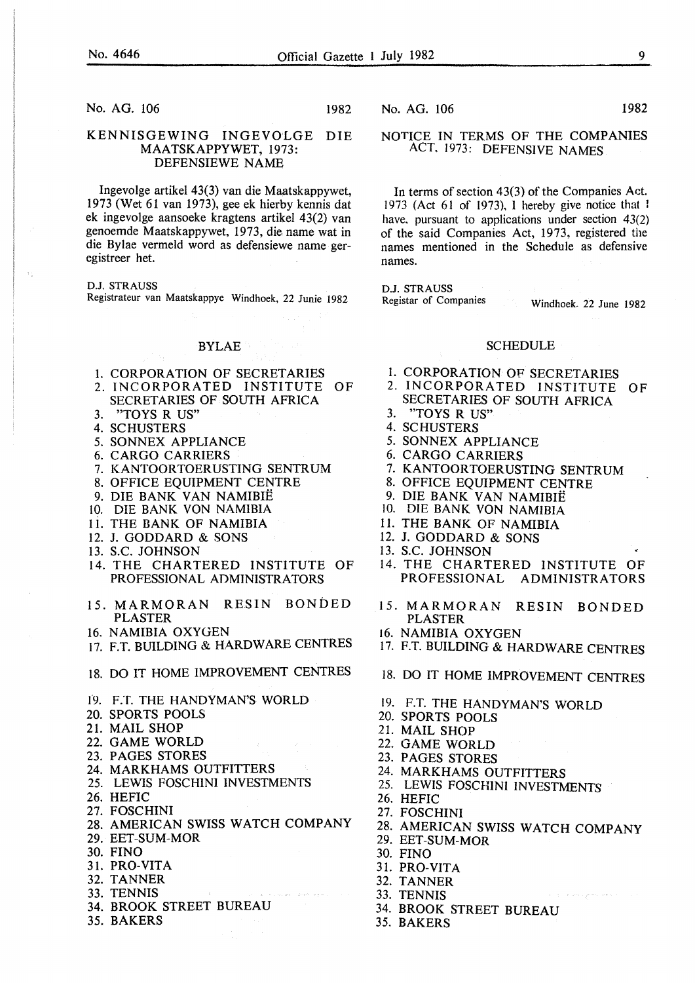No. AG. 106 1982

#### KENNISGEWING INGEVOLGE DIE MAATSKAPPYWET, 1973: DEFENSIEWE NAME

Ingevolge artikel 43(3) van die Maatskappywet, 1973 (Wet 61 van 1973), gee ek hierby kennis dat ek ingevolge aansoeke kragtens artikel 43(2) van genoemde Maatskappywet, 1973, die name wat in die Bylae vermeld word as defensiewe name geregistreer het.

D.J. STRAUSS

Registrateur van Maatskappye Windhoek, 22 Junie 1982

### **BYLAE**

- 1. CORPORATION OF SECRETARIES<br>2. INCORPORATED INSTITUTE OF
- 2. INCORPORATED INSTITUTE SECRETARIES OF SOUTH AFRICA
- 3. "TOYS R US"
- 4. SCHUSTERS
- 5. SONNEX APPLIANCE
- 6. CARGO CARRIERS
- 7. KANTOORTOERUSTING SENTRUM
- 8. OFFICE EQUIPMENT CENTRE
- 9. DIE BANK VAN NAMIBIE
- 10. DIE BANK VON NAMIBIA
- 11. THE BANK OF NAMIBIA
- 12. J. GODDARD & SONS
- 13. S.C. JOHNSON
- 14. THE CHARTERED INSTITUTE OF PROFESSIONAL ADMINISTRATORS
- 15. MARMORAN RESIN BONDED PLASTER
- 16. NAMIBIA OXYGEN
- 17. F.T. BUILDING & HARDWARE CENTRES
- 18. DO IT HOME IMPROVEMENT CENTRES
- 19. F.T. THE HANDYMAN'S WORLD
- 20. SPORTS POOLS
- 21. MAIL SHOP
- 22. GAME WORLD
- 23. PAGES STORES
- 24. MARKHAMS OUTFITTERS
- 25. LEWIS FOSCHINI INVESTMENTS
- 26. HEFIC
- 27. FOSCHINI
- 28. AMERICAN SWISS WATCH COMPANY
- 29. EET-SUM-MOR
- 30. FINO
- 31. PRO-VITA
- 32. TANNER
- 33. TENNIS
- 34. BROOK STREET BUREAU
- 35. BAKERS

No. AG. 106 1982

#### NOTICE IN TERMS OF THE COMPANIES ACT. 1973: DEFENSIVE NAMES

In terms of section 43(3) of the Companies Act. 1973 (Act 61 of 1973), I hereby give notice that I have, pursuant to applications under section 43(2) of the said Companies Act, 1973, registered the names mentioned in the Schedule as defensive names.

D.J. STRAUSS<br>Registar of Companies Windhoek. 22 June 1982

#### **SCHEDULE**

- I. CORPORATION OF SECRETARIES
- 2. INCORPORATED INSTITUTE OF SECRETARIES OF SOUTH AFRICA
- 3. "TOYS R US"
- 4. SC HUSTERS
- 5. SONNEX APPLIANCE
- 6. CARGO CARRIERS
- 7. KANTOORTOERUSTING SENTRUM
- 8. OFFICE EQUIPMENT CENTRE
- 9. DIE BANK VAN NAMIBIE
- 10. DIE BANK VON NAMIBIA
- 11. THE BANK OF NAMIBIA
- 12. J. GODDARD & SONS
- 13. S.C. JOHNSON
- 14. THE CHARTERED INSTITUTE OF PROFESSIONAL ADMINISTRATORS
- 15. MARMORAN RESIN BONDED PLASTER
- 16. NAMIBIA OXYGEN
- 17. F.T. BUILDING & HARDWARE CENTRES
- 18. DO IT HOME IMPROVEMENT CENTRES
- 19. F.T. THE HANDYMAN'S WORLD
- 20. SPORTS POOLS
- 21. MAIL SHOP
- 22. GAME WORLD
- 23. PAGES STORES
- 24. MARKHAMS OUTFITTERS
- 25. LEWIS FOSCHINI INVESTMENTS
- 26. HEFIC
- 27. FOSCHINI
- 28. AMERICAN SWISS WATCH COMPANY
- 29. EET-SUM-MOR
- 30. FINO
- 31. PRO-VITA
- 32. TANNER
- 33. TENNIS
- 34. BROOK STREET BUREAU
- 35. BAKERS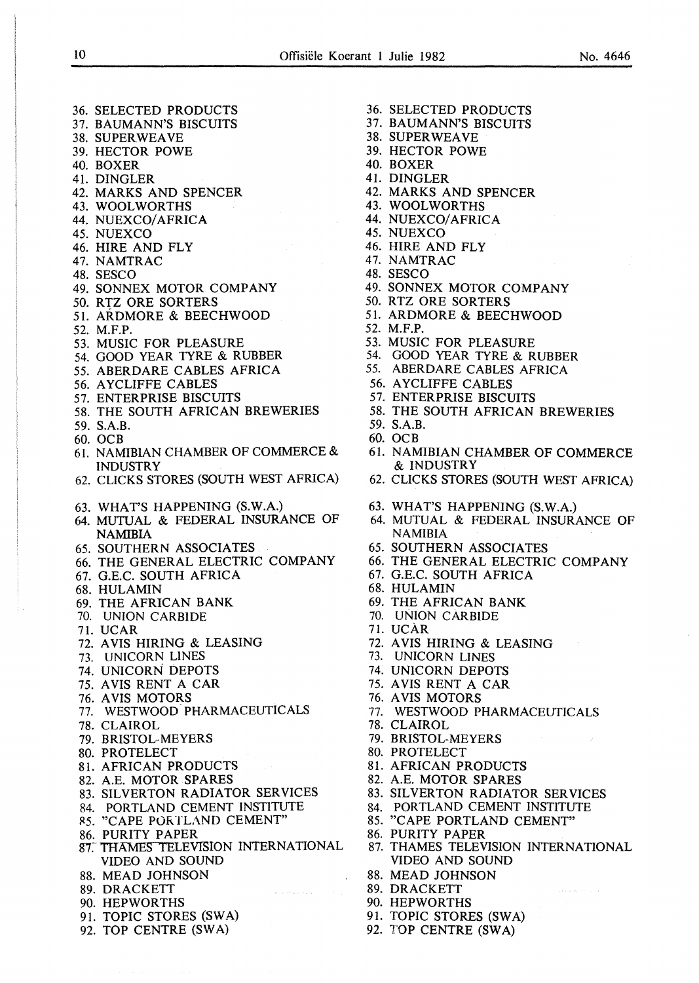36. SELECTED PRODUCTS 37. BAUMANN'S BISCUITS

38. SUPER WEAVE

36. SELECTED PRODUCTS 37. BAUMANN'S BISCUITS 38. SUPERWEA VE 39. HECTOR POWE 40. BOXER 41. DINGLER 42. MARKS AND SPENCER 43. WOOLWORTHS 44. NUEXCO/AFRICA 45. NUEXCO 46. HIRE AND FLY 47. NAMTRAC 48. SESCO 49. SONNEX MOTOR COMPANY 50. RTZ ORE SORTERS 51. ARDMORE & BEECHWOOD 52. M.F.P. 53. MUSIC FOR PLEASURE 54. GOOD YEAR TYRE & RUBBER 55. ABERDARE CABLES AFRICA 56. A YCLIFFE CABLES 57. ENTERPRISE BISCUITS 58. THE SOUTH AFRICAN BREWERIES 59. S.A.B. 60. OCB 61. NAMIBIAN CHAMBER OF COMMERCE & INDUSTRY 62. CLICKS STORES (SOUTH WEST AFRICA) 63. WHATS HAPPENING (S.W.A.) 64. MUTUAL & FEDERAL INSURANCE OF NAMIBIA 65. SOUTHERN ASSOCIATES 66. THE GENERAL ELECTRIC COMPANY 67. G.E.C. SOUTH AFRICA 68. HULAMIN 69. THE AFRICAN BANK 70. UNION CARBIDE 71. UCAR 72. A VIS HIRING & LEASING 73. UNICORN LINES 74. UNICORN DEPOTS 75. AVIS RENT A CAR 76. A VIS MOTORS 77. WESTWOOD- PHARMACEUTICALS 78. CLAIROL 79. BRISTOL-MEYERS 80. PROTELECT 81. AFRICAN PRODUCTS 82. A.E. MOTOR SPARES 83. SILVERTON RADIATOR SERVICES 84. PORTLAND CEMENT INSTITUTE 85. "CAPE PORTLAND CEMENT" 86. PURITY PAPER<br>87. THAMES TELEVISION INTERNATIONAL VIDEO AND SOUND 88. MEAD JOHNSON 89. DRACKETT 90. HEPWORTHS 91. TOPIC STORES (SWA) 92. TOP CENTRE (SWA)

39. HECTOR POWE 40. BOXER 41. DINGLER 42. MARKS AND SPENCER 43. WOOL WORTHS 44. NUEXCO/AFRICA 45. NUEXCO 46. HIRE AND FLY 47. NAMTRAC 48. SESCO 49. SONNEX MOTOR COMPANY 50. RTZ ORE SORTERS 51. ARDMORE & BEECHWOOD 52. M.F.P. 53. MUSIC FOR PLEASURE 54. GOOD YEAR TYRE & RUBBER 55. ABERDARE CABLES AFRICA 56. A YCLIFFE CABLES 57. ENTERPRISE BISCUITS 58. THE SOUTH AFRICAN BREWERIES 59. S.A.B. 60. OCB 61. NAMIBIAN CHAMBER OF COMMERCE & INDUSTRY 62. CLICKS STORES (SOUTH WEST AFRICA) 63. WHAT'S HAPPENING (S.W.A.) 64. MUTUAL & FEDERAL INSURANCE OF NAMIBIA 65. SOUTHERN ASSOCIATES 66. THE GENERAL ELECTRIC COMPANY 67. G.E.C. SOUTH AFRICA 68. HULAMIN 69. THE AFRICAN BANK 70. UNION CARBIDE 71. UCAR 72. A VIS HIRING & LEASING 73. UNICORN LINES 74. UNICORN DEPOTS 75. AVIS RENT A CAR 76. A VIS MOTORS 77. WESTWOOD PHARMACEUTICALS 78. CLAIROL 79. BRISTOL-MEYERS 80. PROTELECT 81. AFRICAN PRODUCTS 82. A.E. MOTOR SPARES 83. SILVERTON RADIATOR SERVICES 84. PORTLAND CEMENT INSTITUTE 85. "CAPE PORTLAND CEMENT" 86. PURITY PAPER 87. THAMES TELEVISION INTERNATIONAL VIDEO AND SOUND 88. MEAD JOHNSON 89. DRACKETT 90. HEPWORTHS 91. TOPIC STORES (SWA) 92. TOP CENTRE (SWA)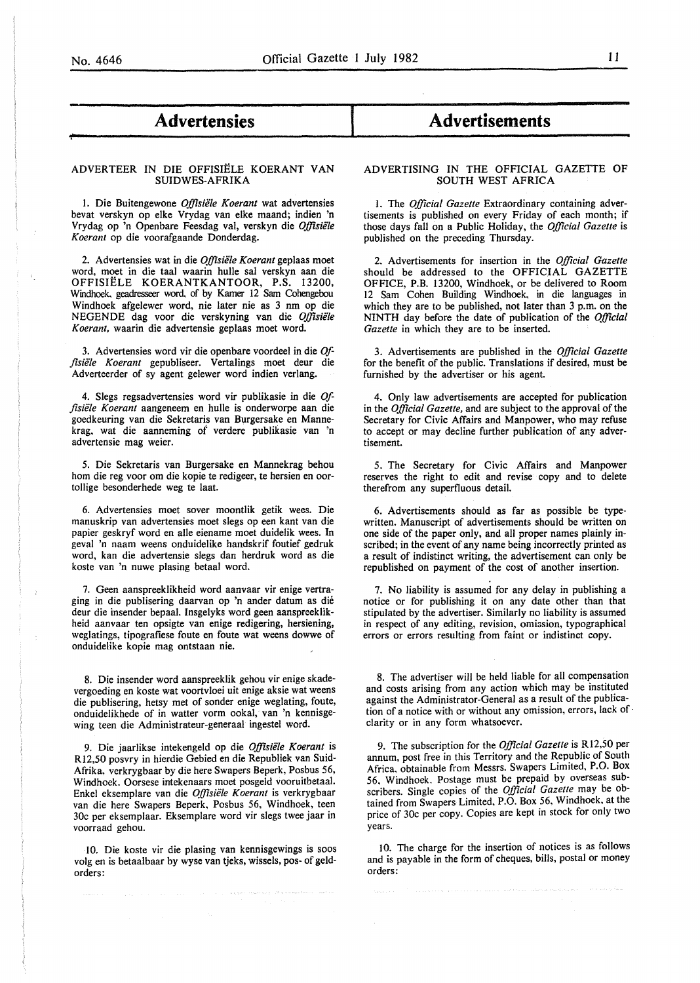*'f-*

### - **Advertensies**

#### ADVERTEER IN DIE OFFISIELE KOERANT VAN SUIDWES-AFRIKA

I. Die Buitengewone *Offisiele Koerant* wat advertensies bevat verskyn op elke Vrydag van elke maand; indien 'n Vrydag op 'n Openbare Feesdag val, verskyn die *Offisiele Koerant* op die voorafgaande Donderdag.

2. Advertensies wat in die *Offisiele Koerant* geplaas moet word, moet in die taal waarin hulle sal verskyn aan die OFFISIELE KOERANTKANTOOR, P.S. 13200, Windhoek, geadresseer word. of by Kamer 12 Sam Cohengebou Windhoek afgelewer word, nie later nie as 3 nm op die NEGENDE dag voor die verskyning van die *Offisiele Koerant,* waarin die advertensie geplaas moet word.

3. Advertensies word vir die openbare voordeel in die *Offisiele Koerant* gepubliseer. Vertalings moet deur die Adverteerder of sy agent gelewer word indien verlang.

4. Slegs regsadvertensies word vir publikasie in die *Offisiele Koerant* aangeneem en hulle is onderworpe aan die goedkeuring van die Sekretaris van Burgersake en Mannekrag, wat die aanneming of verdere publikasie van 'n advertensie mag weier.

5. Die Sekretaris van Burgersake en Mannekrag behou hom die reg voor om die kopie te redigeer, te hersien en oortollige besonderhede weg te laat.

6. Advertensies moet sover moontlik getik wees. Die manuskrip van advertensies moet slegs op een kant van die papier geskryf word en aile eiename moet duidelik wees. In geval 'n naam weens onduidelike handskrif foutief gedruk word, kan die advertensie slegs dan herdruk word as die koste van 'n nuwe plasing betaal word.

7. Geen aanspreeklikheid word aanvaar vir enige vertraging in die publisering daarvan op 'n ander datum as die deur die insender bepaal. Insgelyks word geen aanspreeklikheid aanvaar ten opsigte van enige redigering, hersiening, weglatings, tipografiese foute en foute wat weens dowwe of onduidelike kopie mag ontstaan nie.

8. Die insender word aanspreeklik gehou vir enige skadevergoeding en koste wat voortvloei uit enige aksie wat weens die publisering, hetsy met of sonder enige weglating, foute, onduidelikhede of in watter vorm ookal, van 'n kennisgewing teen die Administrateur-generaal ingestel word.

9. Die jaarlikse intekengeld op die *Offisiele Koerant* is Rl2,50 posvry in hierdie Gebied en die Republiek van Suid-Afrika, verkrygbaar by die here Swapers Beperk, Posbus 56, Windhoek. Oorsese intekenaars moet posgeld vooruitbetaal. Enkel eksemplare van die *Offisiele Koerant* is verkrygbaar van die here Swapers Beperk, Posbus 56, Windhoek, teen 30c per eksemplaar. Eksemplare word vir slegs twee jaar in voorraad gehou.

10. Die koste vir die plasing van kennisgewings is soos volg en is betaalbaar by wyse van tjeks, wissels, pos- of geldorders:

## I **Advertisements**

#### ADVERTISING IN THE OFFICIAL GAZETTE OF SOUTH WEST AFRICA

1. The *Official Gazette* Extraordinary containing advertisements is published on every Friday of each month; if those days fall on a Public Holiday, the *Official Gazette* is published on the preceding Thursday.

2. Advertisements for insertion in the *Official Gazette*  should be addressed to the OFFICIAL GAZETTE OFFICE, P.B. 13200, Windhoek, or be delivered to Room 12 Sam Cohen Building Windhoek, in die languages in which they are to be published, not later than 3 p.m. on the NINTH day before the date of publication of the *Official Gazette* in which they are to be inserted.

3. Advertisements are published in the *Official Gazette*  for the benefit of the public. Translations if desired, must be furnished by the advertiser or his agent.

4. Only law advertisements are accepted for publication in the *Official Gazette,* and are subject to the approval of the Secretary for Civic Affairs and Manpower, who may refuse to accept or may decline further publication of any advertisement.

5. The Secretary for Civic Affairs and Manpower reserves the right to edit and revise copy and to delete therefrom any superfluous detail.

6. Advertisements should as far as possible be typewritten. Manuscript of advertisements should be written on one side of the paper only, and all proper names plainly inscribed; in the event of any name being incorrectly printed as a result of indistinct writing, the advertisement can only be republished on payment of the cost of another insertion.

7. No liability is assumed for any delay in publishing a notice or for publishing it on any date other than that stipulated by the advertiser. Similarly no liability is assumed in respect of any editing, revision, omission, typographical errors or errors resulting from faint or indistinct copy.

8. The advertiser will be held liable for all compensation and costs arising from any action which may be instituted against the Administrator-General as a result of the publication of a notice with or without any omission, errors, lack of· clarity or in any form whatsoever.

9. The subscription for the *Official Gazette* is Rl2,50 per annum, post free in this Territory and the Republic of South Africa, obtainable from Messrs. Swapers Limited, P.O. Box 56. Windhoek. Postage must be prepaid by overseas subscribers. Single copies of the *Official Gazette* may be obtained from Swapers Limited, P.O. Box 56, Windhoek, at the price of 30c per copy. Copies are kept in stock for only two years.

10. The charge for the insertion of notices is as follows and is payable in the form of cheques, bills, postal or money orders: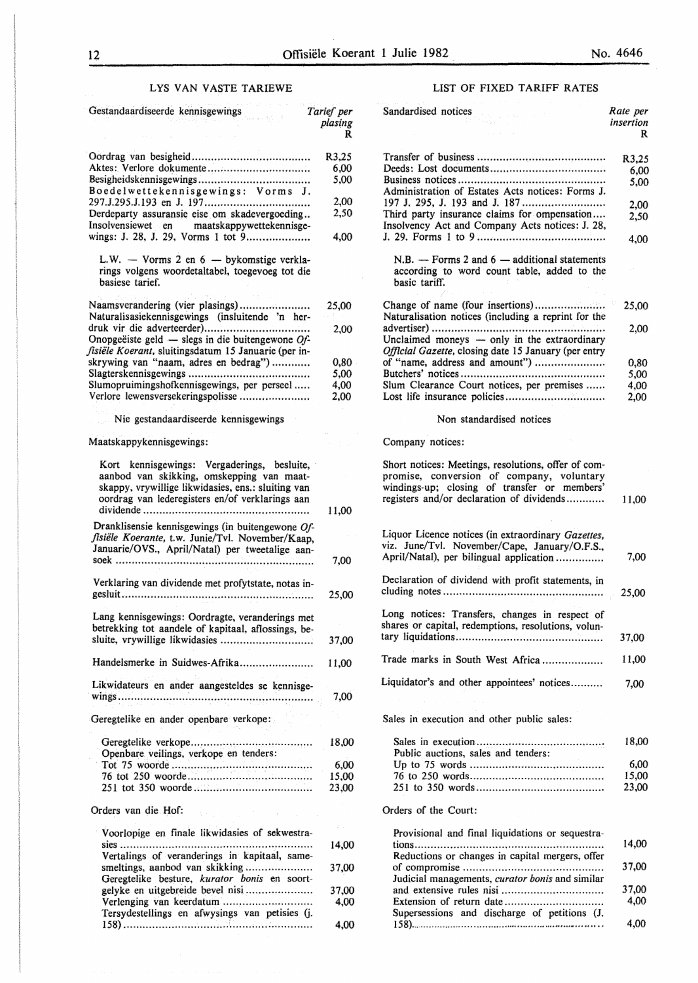LIST OF FIXED TARIFF RATES

#### LYS VAN VASTE TARIEWE

| Gestandaardiseerde kennisgewings                                                                                                                                                                  | Tarief per<br>plasing<br>R | Sandardised notices                                                                                                                                                                           | Rate per<br>insertion<br>R |
|---------------------------------------------------------------------------------------------------------------------------------------------------------------------------------------------------|----------------------------|-----------------------------------------------------------------------------------------------------------------------------------------------------------------------------------------------|----------------------------|
|                                                                                                                                                                                                   | R3,25                      |                                                                                                                                                                                               |                            |
|                                                                                                                                                                                                   | 6,00                       |                                                                                                                                                                                               | R3,25                      |
|                                                                                                                                                                                                   | 5,00                       |                                                                                                                                                                                               | 6,00<br>5,00               |
| Boedelwettekennisgewings: Vorms J.                                                                                                                                                                |                            | Administration of Estates Acts notices: Forms J.                                                                                                                                              |                            |
|                                                                                                                                                                                                   | 2,00                       |                                                                                                                                                                                               | 2,00                       |
| Derdeparty assuransie eise om skadevergoeding                                                                                                                                                     | 2,50                       | Third party insurance claims for ompensation                                                                                                                                                  | 2,50                       |
| Insolvensiewet en<br>maatskappywettekennisge-<br>wings: J. 28, J. 29, Vorms 1 tot 9                                                                                                               | 4,00                       | Insolvency Act and Company Acts notices: J. 28,                                                                                                                                               | 4,00                       |
| L.W. $-$ Vorms 2 en $6 -$ by komstige verkla-<br>rings volgens woordetaltabel, toegevoeg tot die<br>basiese tarief.                                                                               |                            | $N.B.$ – Forms 2 and 6 – additional statements<br>according to word count table, added to the<br>basic tariff.                                                                                |                            |
| Naamsverandering (vier plasings)                                                                                                                                                                  | 25,00                      |                                                                                                                                                                                               | 25,00                      |
| Naturalisasiekennisgewings (insluitende 'n her-                                                                                                                                                   |                            | Naturalisation notices (including a reprint for the                                                                                                                                           |                            |
|                                                                                                                                                                                                   | 2,00                       |                                                                                                                                                                                               | 2,00                       |
| Onopgeëiste geld — slegs in die buitengewone $Of$ -                                                                                                                                               |                            | Unclaimed moneys - only in the extraordinary                                                                                                                                                  |                            |
| fisiële Koerant, sluitingsdatum 15 Januarie (per in-                                                                                                                                              |                            | Official Gazette, closing date 15 January (per entry                                                                                                                                          |                            |
| skrywing van "naam, adres en bedrag")                                                                                                                                                             | 0,80<br>5,00               | of "name, address and amount")                                                                                                                                                                | 0,80                       |
| Slumopruimingshofkennisgewings, per perseel                                                                                                                                                       | 4,00                       | Slum Clearance Court notices, per premises                                                                                                                                                    | 5,00<br>4,00               |
| Verlore lewensversekeringspolisse                                                                                                                                                                 | 2,00                       |                                                                                                                                                                                               | 2,00                       |
| Nie gestandaardiseerde kennisgewings                                                                                                                                                              |                            | Non standardised notices                                                                                                                                                                      |                            |
| Maatskappykennisgewings:                                                                                                                                                                          | in 19                      | Company notices:                                                                                                                                                                              |                            |
| Kort kennisgewings: Vergaderings, besluite,<br>aanbod van skikking, omskepping van maat-<br>skappy, vrywillige likwidasies, ens.: sluiting van<br>oordrag van lederegisters en/of verklarings aan | 11,00                      | Short notices: Meetings, resolutions, offer of com-<br>promise, conversion of company, voluntary<br>windings-up; closing of transfer or members'<br>registers and/or declaration of dividends | 11,00                      |
|                                                                                                                                                                                                   |                            |                                                                                                                                                                                               |                            |
| Dranklisensie kennisgewings (in buitengewone Of-<br>fisiële Koerante, t.w. Junie/Tvl. November/Kaap,<br>Januarie/OVS., April/Natal) per tweetalige aan-                                           | 7,00                       | Liquor Licence notices (in extraordinary Gazettes,<br>viz. June/Tvl. November/Cape, January/O.F.S.,<br>April/Natal), per bilingual application                                                | 7,00                       |
|                                                                                                                                                                                                   |                            | Declaration of dividend with profit statements, in                                                                                                                                            |                            |
| Verklaring van dividende met profytstate, notas in-                                                                                                                                               | 25,00                      |                                                                                                                                                                                               | 25,00                      |
| Lang kennisgewings: Oordragte, veranderings met<br>betrekking tot aandele of kapitaal, aflossings, be-                                                                                            | 37,00                      | Long notices: Transfers, changes in respect of<br>shares or capital, redemptions, resolutions, volun-                                                                                         | 37,00                      |
|                                                                                                                                                                                                   |                            |                                                                                                                                                                                               |                            |
| Handelsmerke in Suidwes-Afrika                                                                                                                                                                    | 11,00                      | Trade marks in South West Africa                                                                                                                                                              | 11,00                      |
| Likwidateurs en ander aangesteldes se kennisge-                                                                                                                                                   | 7,00                       | Liquidator's and other appointees' notices                                                                                                                                                    | 7,00                       |
|                                                                                                                                                                                                   |                            |                                                                                                                                                                                               |                            |
| Geregtelike en ander openbare verkope:                                                                                                                                                            |                            | Sales in execution and other public sales:                                                                                                                                                    |                            |
|                                                                                                                                                                                                   | 18,00                      |                                                                                                                                                                                               | 18,00                      |
| Openbare veilings, verkope en tenders:                                                                                                                                                            |                            | Public auctions, sales and tenders:                                                                                                                                                           |                            |
|                                                                                                                                                                                                   | 6,00                       |                                                                                                                                                                                               | 6,00                       |
|                                                                                                                                                                                                   | 15,00                      |                                                                                                                                                                                               | 15,00                      |
|                                                                                                                                                                                                   | 23,00                      |                                                                                                                                                                                               | 23,00                      |
| Orders van die Hof:<br>diamonds.                                                                                                                                                                  |                            | Orders of the Court:                                                                                                                                                                          |                            |
| Voorlopige en finale likwidasies of sekwestra-                                                                                                                                                    |                            | Provisional and final liquidations or sequestra-                                                                                                                                              |                            |
|                                                                                                                                                                                                   | 14,00                      |                                                                                                                                                                                               | 14,00                      |
| Vertalings of veranderings in kapitaal, same-                                                                                                                                                     |                            | Reductions or changes in capital mergers, offer                                                                                                                                               |                            |
|                                                                                                                                                                                                   | 37,00                      | Judicial managements, curator bonis and similar                                                                                                                                               | 37,00                      |
| Geregtelike besture, kurator bonis en soort-                                                                                                                                                      | 37,00                      |                                                                                                                                                                                               | 37,00                      |
|                                                                                                                                                                                                   | 4,00                       | Extension of return date                                                                                                                                                                      | 4,00                       |
| Tersydestellings en afwysings van petisies (j.                                                                                                                                                    |                            | Supersessions and discharge of petitions (J.                                                                                                                                                  |                            |
|                                                                                                                                                                                                   | 4,00                       |                                                                                                                                                                                               | 4,00                       |